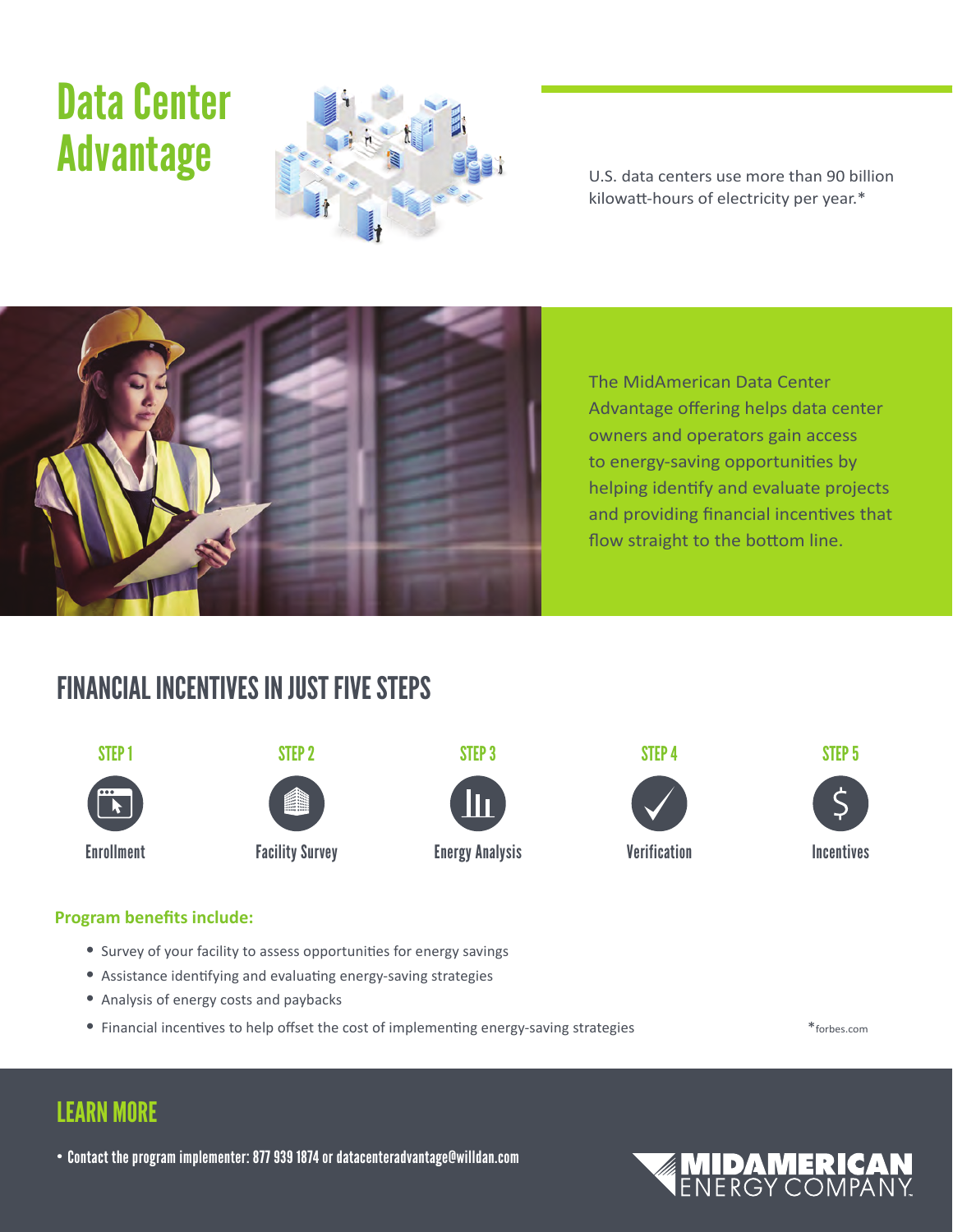# Data Center



kilowatt-hours of electricity per year.\*



The MidAmerican Data Center Advantage offering helps data center owners and operators gain access to energy-saving opportunities by helping identify and evaluate projects and providing financial incentives that flow straight to the bottom line.

# FINANCIAL INCENTIVES IN JUST FIVE STEPS











#### **Program benefits include:**

- Survey of your facility to assess opportunities for energy savings
- • Assistance identifying and evaluating energy-saving strategies
- • Analysis of energy costs and paybacks
- • Financial incentives to help offset the cost of implementing energy-saving strategies \*forbes.com

## LEARN MORE

• Contact the program implementer: 877 939 1874 or datacenteradvantage@willdan.com